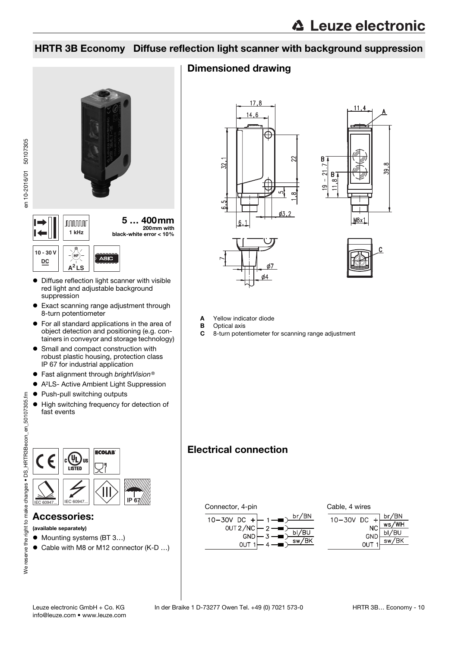## HRTR 3B Economy Diffuse reflection light scanner with background suppression



- red light and adjustable background suppression
- Exact scanning range adjustment through 8-turn potentiometer
- For all standard applications in the area of object detection and positioning (e.g. containers in conveyor and storage technology)
- **•** Small and compact construction with robust plastic housing, protection class IP 67 for industrial application
- Fast alignment through brightVision®
- A2LS- Active Ambient Light Suppression
- Push-pull switching outputs
- $\bullet$  High switching frequency for detection of fast events

en 10-2016/01 50107305

en 10-2016/01 50107305



## Accessories:

(available separately)

- Mounting systems (BT 3...)
- Cable with M8 or M12 connector (K-D ...)

## Dimensioned drawing



- A Yellow indicator diode
- **B** Optical axis
- C 8-turn potentiometer for scanning range adjustment

## Electrical connection

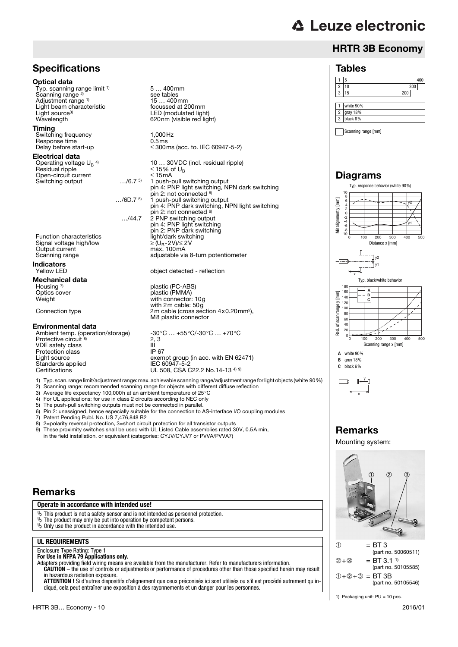## HRTR 3B Economy

#### Tables

|                | 5         | 400 |
|----------------|-----------|-----|
| $\overline{2}$ | 10        | 300 |
| 3              | 15        | 200 |
|                |           |     |
|                | white 90% |     |
| $\overline{c}$ | gray 18%  |     |
| 3              | black 6%  |     |

Scanning range [mm]

## Diagrams





1) Packaging unit: PU = 10 pcs.

## **Specifications**

#### Optical data

Typ. scanning range limit <sup>1)</sup> Scanning range<sup>2)</sup> Adjustment range <sup>1)</sup><br>Light beam characteristic Light source<sup>3)</sup><br>Wavelength

#### Timing

Switching frequency 1,000Hz<br>
Response time 1,5 ms Response time<br>Delay before start-up

#### Electrical data

Operating voltage  $U_B$ <sup>4)</sup><br>Besidual ripple Open-circuit current<br>
Switching output ..../6.7<sup>5</sup> Switching output

…/6D.7 5) 1 push-pull switching output pin 4: PNP dark switching, NPN light switching

5 … 400mm

see tables<br>15 ... 400mm

 $\leq$  15% of U<sub>B</sub><br> ≤ 15 % of U<sub>B</sub>

pin 2: not connected 6) …/44.7 2 PNP switching output

focussed at 200mm

LED (modulated light) 620nm (visible red light)

pin 2: not connected <sup>6)</sup>

pin 4: PNP light switching pin 2: PNP dark switching<br>light/dark switching

object detected - reflection

plastic (PC-ABS)

with connector: 10g with 2m cable: 50g

M8 plastic connector

nia. . . . . . . .<br>adjustable via 8-turn potentiometer

 $\leq$  300ms (acc. to. IEC 60947-5-2)

10 … 30VDC (incl. residual ripple)

1 push-pull switching output pin 4: PNP light switching, NPN dark switching

Function characteristics light/dark switching light/dark switching  $\geq (U_B - 2V)/\leq 2V$ Signal voltage high/low  $\geq (U_B-2V)/\leq 2$ <br>Output current max. 100mA Output current<br>Scanning range

**Indicators**<br>Yellow LED

## Mechanical data Housing 7)<br>Optics cover

Optics cover **plastic (PMMA)**<br>Weight with connector:

Connection type 2m cable (cross section 4x0.20mm²),

#### Environmental data

Ambient temp. (operation/storage) -30°C … +55°C/-30°C … +70°C<br>Protective circuit <sup>8)</sup> 2, 3  $\frac{2}{1}$ , 3 VDE safety class III Protection class<br>Light source  $\frac{1}{2}$  exempt group (in acc. with EN 62471)<br>IEC 60947-5-2 Standards applied<br>Certifications UL 508, CSA C22.2 No.14-13 4) 9)

1) Typ. scan. range limit/adjustment range: max. achievable scanning range/adjustment range for light objects (white 90%)

2) Scanning range: recommended scanning range for objects with different diffuse reflection

3) Average life expectancy 100,000h at an ambient temperature of 25°C

4) For UL applications: for use in class 2 circuits according to NEC only

5) The push-pull switching outputs must not be connected in parallel.<br>6) Pin 2: unassigned, hence especially suitable for the connection to  $\lambda$ 

6) Pin 2: unassigned, hence especially suitable for the connection to AS-interface I/O coupling modules

7) Patent Pending Publ. No. US 7,476,848 B2<br>8) 2=polarity reversal protection. 3=short circu

8) 2=polarity reversal protection, 3=short circuit protection for all transistor outputs

9) These proximity switches shall be used with UL Listed Cable assemblies rated 30V, 0.5A min, in the field installation, or equivalent (categories: CYJV/CYJV7 or PVVA/PVVA7)

## Remarks

#### **Operate in accordance with intended use!**  $\&$  This product is not a safety sensor and is not intended as personnel protection.  $\&$  The product may only be put into operation by competent persons.

 $\ddot{\phi}$  Only use the product in accordance with the intended use.

### **UL REQUIREMENTS**

#### Enclosure Type Rating: Type 1 **For Use in NFPA 79 Applications only.**

Adapters providing field wiring means are available from the manufacturer. Refer to manufacturers information. **CAUTION** – the use of controls or adjustments or performance of procedures other than those specified herein may result in hazardous radiation exposure.

**ATTENTION !** Si d'autres dispositifs d'alignement que ceux préconisés ici sont utilisés ou s'il est procédé autrement qu'indiqué, cela peut entraîner une exposition à des rayonnements et un danger pour les personnes.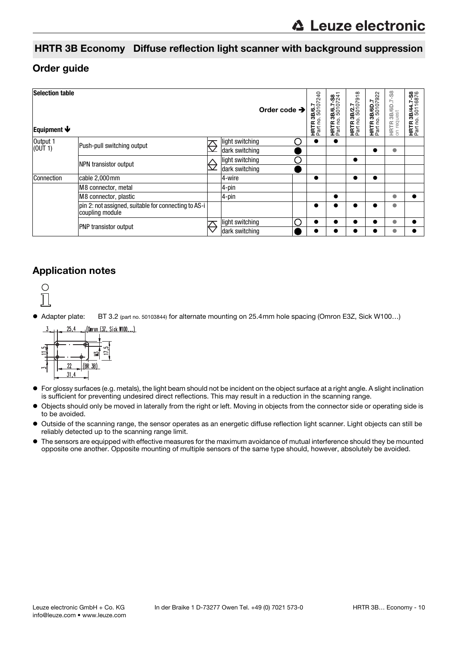## HRTR 3B Economy Diffuse reflection light scanner with background suppression

## Order guide

| <b>Selection table</b><br>Equipment $\blacklozenge$ |                                                                         |                   | Order code $\rightarrow$ |   | <b>HRTR 3B/6.7</b><br>Part no. 50107240 | HRTR 3B/6.7-S8<br>Part no. 50107241 | <b>HRTR 3B/2.7</b><br>Part no. 50107918 | <b>HRTR 3B/6D.7</b><br>Part no. 50107922 | HRTR 3B/6D.7-S8<br>on request | 3B/44.7-S8<br>. g<br>HRTR<br>Part nc |
|-----------------------------------------------------|-------------------------------------------------------------------------|-------------------|--------------------------|---|-----------------------------------------|-------------------------------------|-----------------------------------------|------------------------------------------|-------------------------------|--------------------------------------|
| Output 1<br>(OUT 1)                                 | Push-pull switching output                                              |                   | light switching          |   |                                         | $\bullet$                           |                                         |                                          |                               |                                      |
|                                                     |                                                                         | $\overline{\vee}$ | dark switching           |   |                                         |                                     |                                         |                                          | $\bullet$                     |                                      |
|                                                     | NPN transistor output                                                   |                   | light switching          |   |                                         |                                     | $\bullet$                               |                                          |                               |                                      |
|                                                     |                                                                         |                   | dark switching           |   |                                         |                                     |                                         |                                          |                               |                                      |
| Connection                                          | cable 2,000mm                                                           |                   | 4-wire                   |   |                                         |                                     |                                         |                                          |                               |                                      |
|                                                     | M8 connector, metal                                                     |                   | $4$ -pin                 |   |                                         |                                     |                                         |                                          |                               |                                      |
|                                                     | M8 connector, plastic                                                   |                   | $4$ -pin                 |   |                                         | ●                                   |                                         |                                          | Ô                             |                                      |
|                                                     | pin 2: not assigned, suitable for connecting to AS-i<br>coupling module |                   |                          |   |                                         |                                     |                                         |                                          | O                             |                                      |
|                                                     | <b>PNP</b> transistor output                                            |                   | light switching          | ⌒ |                                         |                                     |                                         |                                          |                               |                                      |
|                                                     |                                                                         |                   | dark switching           |   |                                         |                                     |                                         |                                          |                               |                                      |

## Application notes



Adapter plate: BT 3.2 (part no. 50103844) for alternate mounting on 25.4mm hole spacing (Omron E3Z, Sick W100…)



- For glossy surfaces (e.g. metals), the light beam should not be incident on the object surface at a right angle. A slight inclination is sufficient for preventing undesired direct reflections. This may result in a reduction in the scanning range.
- Objects should only be moved in laterally from the right or left. Moving in objects from the connector side or operating side is to be avoided.
- Outside of the scanning range, the sensor operates as an energetic diffuse reflection light scanner. Light objects can still be reliably detected up to the scanning range limit.
- The sensors are equipped with effective measures for the maximum avoidance of mutual interference should they be mounted opposite one another. Opposite mounting of multiple sensors of the same type should, however, absolutely be avoided.